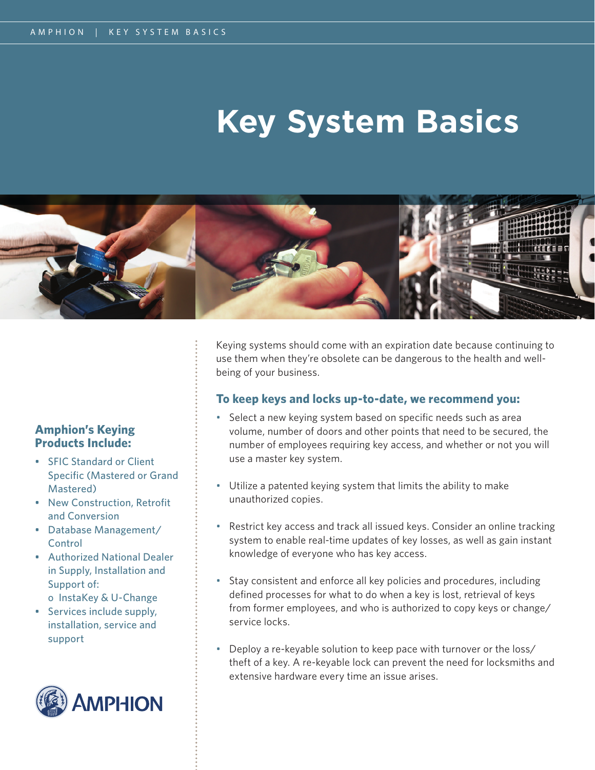## **Key System Basics**



### **Amphion's Keying Products Include:**

- SFIC Standard or Client Specific (Mastered or Grand Mastered)
- New Construction, Retrofit and Conversion
- Database Management/ **Control**
- Authorized National Dealer in Supply, Installation and Support of:
	- o InstaKey & U-Change
- Services include supply, installation, service and support



Keying systems should come with an expiration date because continuing to use them when they're obsolete can be dangerous to the health and wellbeing of your business.

### **To keep keys and locks up-to-date, we recommend you:**

- Select a new keying system based on specific needs such as area volume, number of doors and other points that need to be secured, the number of employees requiring key access, and whether or not you will use a master key system.
- Utilize a patented keying system that limits the ability to make unauthorized copies.
- Restrict key access and track all issued keys. Consider an online tracking system to enable real-time updates of key losses, as well as gain instant knowledge of everyone who has key access.
- Stay consistent and enforce all key policies and procedures, including defined processes for what to do when a key is lost, retrieval of keys from former employees, and who is authorized to copy keys or change/ service locks.
- Deploy a re-keyable solution to keep pace with turnover or the loss/ theft of a key. A re-keyable lock can prevent the need for locksmiths and extensive hardware every time an issue arises.